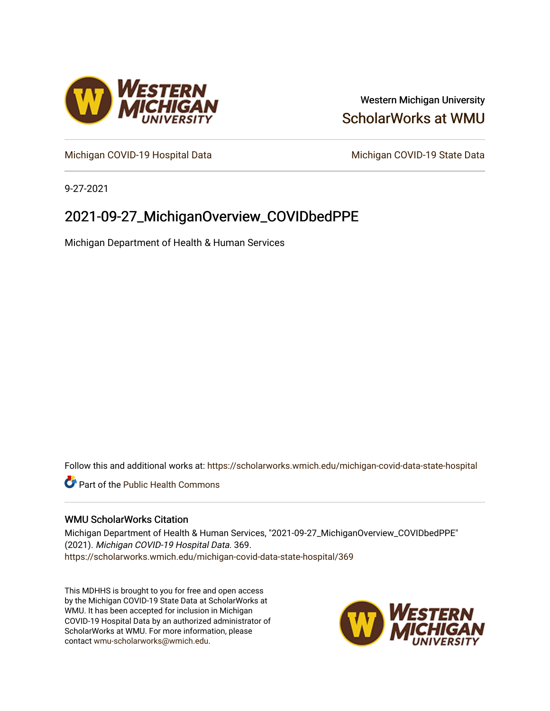

## Western Michigan University [ScholarWorks at WMU](https://scholarworks.wmich.edu/)

[Michigan COVID-19 Hospital Data](https://scholarworks.wmich.edu/michigan-covid-data-state-hospital) Michigan COVID-19 State Data

9-27-2021

# 2021-09-27\_MichiganOverview\_COVIDbedPPE

Michigan Department of Health & Human Services

Follow this and additional works at: [https://scholarworks.wmich.edu/michigan-covid-data-state-hospital](https://scholarworks.wmich.edu/michigan-covid-data-state-hospital?utm_source=scholarworks.wmich.edu%2Fmichigan-covid-data-state-hospital%2F369&utm_medium=PDF&utm_campaign=PDFCoverPages) 

**Part of the Public Health Commons** 

#### WMU ScholarWorks Citation

Michigan Department of Health & Human Services, "2021-09-27\_MichiganOverview\_COVIDbedPPE" (2021). Michigan COVID-19 Hospital Data. 369. [https://scholarworks.wmich.edu/michigan-covid-data-state-hospital/369](https://scholarworks.wmich.edu/michigan-covid-data-state-hospital/369?utm_source=scholarworks.wmich.edu%2Fmichigan-covid-data-state-hospital%2F369&utm_medium=PDF&utm_campaign=PDFCoverPages) 

This MDHHS is brought to you for free and open access by the Michigan COVID-19 State Data at ScholarWorks at WMU. It has been accepted for inclusion in Michigan COVID-19 Hospital Data by an authorized administrator of ScholarWorks at WMU. For more information, please contact [wmu-scholarworks@wmich.edu](mailto:wmu-scholarworks@wmich.edu).

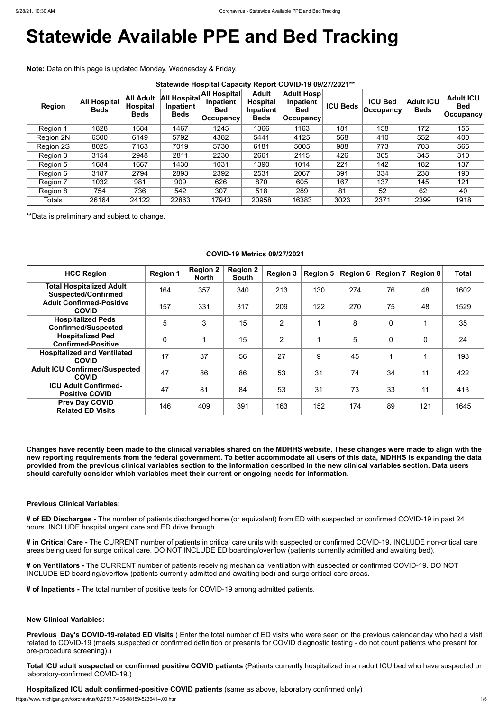# **Statewide Available PPE and Bed Tracking**

**Note:** Data on this page is updated Monday, Wednesday & Friday.

| <b>Region</b>    | <b>All Hospital</b><br><b>Beds</b> | <b>All Adult</b><br><b>Hospital</b><br><b>Beds</b> | All Hospital<br>Inpatient<br><b>Beds</b> | All Hospital<br>Inpatient<br><b>Bed</b><br>$ $ Occupancy | <b>Adult</b><br><b>Hospital</b><br>Inpatient<br><b>Beds</b> | <b>Adult Hosp</b><br>Inpatient<br><b>Bed</b><br><b>Occupancy</b> | <b>ICU Beds</b> | <b>ICU Bed</b><br><b>Occupancy</b> | <b>Adult ICU</b><br><b>Beds</b> | <b>Adult ICU</b><br><b>Bed</b><br>$ $ Occupancy $ $ |
|------------------|------------------------------------|----------------------------------------------------|------------------------------------------|----------------------------------------------------------|-------------------------------------------------------------|------------------------------------------------------------------|-----------------|------------------------------------|---------------------------------|-----------------------------------------------------|
| Region 1         | 1828                               | 1684                                               | 1467                                     | 1245                                                     | 1366                                                        | 1163                                                             | 181             | 158                                | 172                             | 155                                                 |
| <b>Region 2N</b> | 6500                               | 6149                                               | 5792                                     | 4382                                                     | 5441                                                        | 4125                                                             | 568             | 410                                | 552                             | 400                                                 |
| Region 2S        | 8025                               | 7163                                               | 7019                                     | 5730                                                     | 6181                                                        | 5005                                                             | 988             | 773                                | 703                             | 565                                                 |
| Region 3         | 3154                               | 2948                                               | 2811                                     | 2230                                                     | 2661                                                        | 2115                                                             | 426             | 365                                | 345                             | 310                                                 |
| Region 5         | 1684                               | 1667                                               | 1430                                     | 1031                                                     | 1390                                                        | 1014                                                             | 221             | 142                                | 182                             | 137                                                 |
| Region 6         | 3187                               | 2794                                               | 2893                                     | 2392                                                     | 2531                                                        | 2067                                                             | 391             | 334                                | 238                             | 190                                                 |
| Region 7         | 1032                               | 981                                                | 909                                      | 626                                                      | 870                                                         | 605                                                              | 167             | 137                                | 145                             | 121                                                 |
| Region 8         | 754                                | 736                                                | 542                                      | 307                                                      | 518                                                         | 289                                                              | 81              | 52                                 | 62                              | 40                                                  |
| <b>Totals</b>    | 26164                              | 24122                                              | 22863                                    | 17943                                                    | 20958                                                       | 16383                                                            | 3023            | 2371                               | 2399                            | 1918                                                |

\*\*Data is preliminary and subject to change.

### **COVID-19 Metrics 09/27/2021**

| <b>HCC Region</b>                                             | <b>Region 1</b> | <b>Region 2</b><br><b>North</b> | <b>Region 2</b><br><b>South</b> | <b>Region 3</b> | <b>Region 5</b> | Region 6 | $ $ Region 7 $ $ Region 8 |             | <b>Total</b> |
|---------------------------------------------------------------|-----------------|---------------------------------|---------------------------------|-----------------|-----------------|----------|---------------------------|-------------|--------------|
| <b>Total Hospitalized Adult</b><br><b>Suspected/Confirmed</b> | 164             | 357                             | 340                             | 213             | 130             | 274      | 76                        | 48          | 1602         |
| <b>Adult Confirmed-Positive</b><br><b>COVID</b>               | 157             | 331                             | 317                             | 209             | 122             | 270      | 75                        | 48          | 1529         |
| <b>Hospitalized Peds</b><br><b>Confirmed/Suspected</b>        | 5               | 3                               | 15                              | $\overline{2}$  |                 | 8        | $\overline{0}$            |             | 35           |
| <b>Hospitalized Ped</b><br><b>Confirmed-Positive</b>          | $\overline{0}$  |                                 | 15                              | $\overline{2}$  |                 | 5        | $\overline{0}$            | $\mathbf 0$ | 24           |
| <b>Hospitalized and Ventilated</b><br><b>COVID</b>            | 17              | 37                              | 56                              | 27              | 9               | 45       |                           |             | 193          |
| <b>Adult ICU Confirmed/Suspected</b><br><b>COVID</b>          | 47              | 86                              | 86                              | 53              | 31              | 74       | 34                        | 11          | 422          |
| <b>ICU Adult Confirmed-</b><br><b>Positive COVID</b>          | 47              | 81                              | 84                              | 53              | 31              | 73       | 33                        | 11          | 413          |
| <b>Prev Day COVID</b><br><b>Related ED Visits</b>             | 146             | 409                             | 391                             | 163             | 152             | 174      | 89                        | 121         | 1645         |

**Changes have recently been made to the clinical variables shared on the MDHHS website. These changes were made to align with the new reporting requirements from the federal government. To better accommodate all users of this data, MDHHS is expanding the data provided from the previous clinical variables section to the information described in the new clinical variables section. Data users should carefully consider which variables meet their current or ongoing needs for information.**

#### **Previous Clinical Variables:**

**# of ED Discharges -** The number of patients discharged home (or equivalent) from ED with suspected or confirmed COVID-19 in past 24 hours. INCLUDE hospital urgent care and ED drive through.

**# in Critical Care -** The CURRENT number of patients in critical care units with suspected or confirmed COVID-19. INCLUDE non-critical care areas being used for surge critical care. DO NOT INCLUDE ED boarding/overflow (patients currently admitted and awaiting bed).

**# on Ventilators -** The CURRENT number of patients receiving mechanical ventilation with suspected or confirmed COVID-19. DO NOT INCLUDE ED boarding/overflow (patients currently admitted and awaiting bed) and surge critical care areas.

**# of Inpatients -** The total number of positive tests for COVID-19 among admitted patients.

**New Clinical Variables:**

**Previous Day's COVID-19-related ED Visits** ( Enter the total number of ED visits who were seen on the previous calendar day who had a visit related to COVID-19 (meets suspected or confirmed definition or presents for COVID diagnostic testing - do not count patients who present for pre-procedure screening).)

**Total ICU adult suspected or confirmed positive COVID patients** (Patients currently hospitalized in an adult ICU bed who have suspected or laboratory-confirmed COVID-19.)

**Hospitalized ICU adult confirmed-positive COVID patients** (same as above, laboratory confirmed only)

https://www.michigan.gov/coronavirus/0,9753,7-406-98159-523641--,00.html 1/6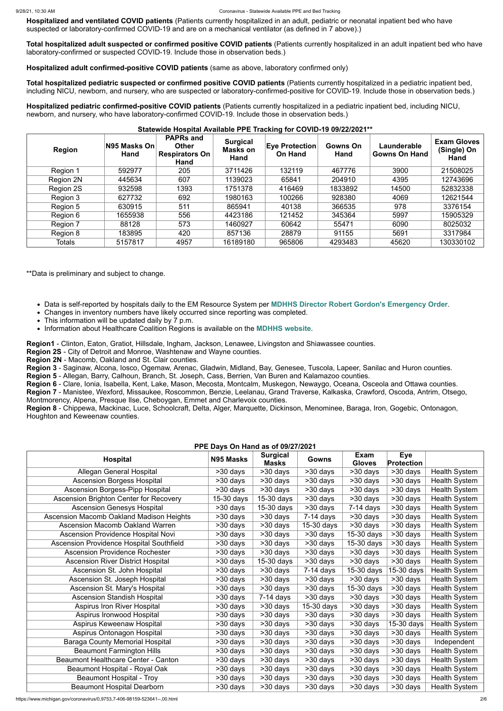**Hospitalized and ventilated COVID patients** (Patients currently hospitalized in an adult, pediatric or neonatal inpatient bed who have suspected or laboratory-confirmed COVID-19 and are on a mechanical ventilator (as defined in 7 above).)

**Total hospitalized adult suspected or confirmed positive COVID patients** (Patients currently hospitalized in an adult inpatient bed who have laboratory-confirmed or suspected COVID-19. Include those in observation beds.)

**Hospitalized adult confirmed-positive COVID patients** (same as above, laboratory confirmed only)

**Total hospitalized pediatric suspected or confirmed positive COVID patients** (Patients currently hospitalized in a pediatric inpatient bed, including NICU, newborn, and nursery, who are suspected or laboratory-confirmed-positive for COVID-19. Include those in observation beds.)

**Hospitalized pediatric confirmed-positive COVID patients** (Patients currently hospitalized in a pediatric inpatient bed, including NICU, newborn, and nursery, who have laboratory-confirmed COVID-19. Include those in observation beds.)

#### **Statewide Hospital Available PPE Tracking for COVID-19 09/22/2021\*\***

| <b>Region</b> | N95 Masks On<br>Hand | <b>PAPRs and</b><br><b>Other</b><br><b>Respirators On</b><br>Hand | <b>Surgical</b><br><b>Masks on</b><br>Hand | <b>Eye Protection</b><br><b>On Hand</b> | Gowns On<br>Hand | Launderable<br><b>Gowns On Hand</b> | <b>Exam Gloves</b><br>(Single) On<br>Hand |
|---------------|----------------------|-------------------------------------------------------------------|--------------------------------------------|-----------------------------------------|------------------|-------------------------------------|-------------------------------------------|
| Region 1      | 592977               | 205                                                               | 3711426                                    | 132119                                  | 467776           | 3900                                | 21508025                                  |
| Region 2N     | 445634               | 607                                                               | 1139023                                    | 65841                                   | 204910           | 4395                                | 12743696                                  |
| Region 2S     | 932598               | 1393                                                              | 1751378                                    | 416469                                  | 1833892          | 14500                               | 52832338                                  |
| Region 3      | 627732               | 692                                                               | 1980163                                    | 100266                                  | 928380           | 4069                                | 12621544                                  |
| Region 5      | 630915               | 511                                                               | 865941                                     | 40138                                   | 366535           | 978                                 | 3376154                                   |
| Region 6      | 1655938              | 556                                                               | 4423186                                    | 121452                                  | 345364           | 5997                                | 15905329                                  |
| Region 7      | 88128                | 573                                                               | 1460927                                    | 60642                                   | 55471            | 6090                                | 8025032                                   |
| Region 8      | 183895               | 420                                                               | 857136                                     | 28879                                   | 91155            | 5691                                | 3317984                                   |
| <b>Totals</b> | 5157817              | 4957                                                              | 16189180                                   | 965806                                  | 4293483          | 45620                               | 130330102                                 |

\*\*Data is preliminary and subject to change.

- Data is self-reported by hospitals daily to the EM Resource System per **[MDHHS Director Robert Gordon's Emergency Order](https://www.michigan.gov/documents/coronavirus/MDHHS_epidemic_reporting_order_and_instructions_684709_7.pdf)**.
- Changes in inventory numbers have likely occurred since reporting was completed.
- This information will be updated daily by 7 p.m.
- Information about Healthcare Coalition Regions is available on the **[MDHHS website](https://www.michigan.gov/mdhhs/0,5885,7-339-71548_54783_54826_56171-237197--,00.html#hcc)**.

**Region1** - Clinton, Eaton, Gratiot, Hillsdale, Ingham, Jackson, Lenawee, Livingston and Shiawassee counties.

**Region 2S** - City of Detroit and Monroe, Washtenaw and Wayne counties.

**Region 2N** - Macomb, Oakland and St. Clair counties.

**Region 3** - Saginaw, Alcona, Iosco, Ogemaw, Arenac, Gladwin, Midland, Bay, Genesee, Tuscola, Lapeer, Sanilac and Huron counties.

**Region 5** - Allegan, Barry, Calhoun, Branch, St. Joseph, Cass, Berrien, Van Buren and Kalamazoo counties.

**Region 6** - Clare, Ionia, Isabella, Kent, Lake, Mason, Mecosta, Montcalm, Muskegon, Newaygo, Oceana, Osceola and Ottawa counties.

**Region 7** - Manistee, Wexford, Missaukee, Roscommon, Benzie, Leelanau, Grand Traverse, Kalkaska, Crawford, Oscoda, Antrim, Otsego, Montmorency, Alpena, Presque Ilse, Cheboygan, Emmet and Charlevoix counties.

**Region 8** - Chippewa, Mackinac, Luce, Schoolcraft, Delta, Alger, Marquette, Dickinson, Menominee, Baraga, Iron, Gogebic, Ontonagon, Houghton and Keweenaw counties.

#### **PPE Days On Hand as of 09/27/2021**

|                                          | $11$ L Days On Hand as 01 09/27/2021 |                                 |                         |                              |                                 |                      |
|------------------------------------------|--------------------------------------|---------------------------------|-------------------------|------------------------------|---------------------------------|----------------------|
| <b>Hospital</b>                          | N95 Masks                            | <b>Surgical</b><br><b>Masks</b> | <b>Gowns</b>            | <b>Exam</b><br><b>Gloves</b> | <b>Eye</b><br><b>Protection</b> |                      |
| <b>Allegan General Hospital</b>          | $>30$ days                           | >30 days                        | >30 days                | >30 days                     | >30 days                        | <b>Health System</b> |
| <b>Ascension Borgess Hospital</b>        | >30 days                             | $>30$ days                      | >30 days                | $>30$ days                   | $\overline{>}30$ days           | <b>Health System</b> |
| <b>Ascension Borgess-Pipp Hospital</b>   | >30 days                             | >30 days                        | >30 days                | $\overline{>30}$ days        | $\overline{>30}$ days           | <b>Health System</b> |
| Ascension Brighton Center for Recovery   | $15-30$ days                         | $15-30$ days                    | >30 days                | >30 days                     | >30 days                        | <b>Health System</b> |
| <b>Ascension Genesys Hospital</b>        | >30 days                             | $15-30$ days                    | >30 days                | $7-14$ days                  | $>30$ days                      | <b>Health System</b> |
| Ascension Macomb Oakland Madison Heights | >30 days                             | >30 days                        | $\overline{7}$ -14 days | $>30$ days                   | $\overline{>30}$ days           | <b>Health System</b> |
| <b>Ascension Macomb Oakland Warren</b>   | >30 days                             | >30 days                        | $15-30$ days            | $>30$ days                   | $\overline{>30}$ days           | <b>Health System</b> |
| Ascension Providence Hospital Novi       | >30 days                             | $\overline{>}30$ days           | >30 days                | 15-30 days                   | >30 days                        | <b>Health System</b> |
| Ascension Providence Hospital Southfield | >30 days                             | $>30$ days                      | >30 days                | 15-30 days                   | >30 days                        | <b>Health System</b> |
| <b>Ascension Providence Rochester</b>    | >30 days                             | >30 days                        | >30 days                | $>30$ days                   | $\overline{>30}$ days           | <b>Health System</b> |
| <b>Ascension River District Hospital</b> | >30 days                             | 15-30 days                      | $\overline{>30}$ days   | $\overline{>30}$ days        | $\overline{>30}$ days           | <b>Health System</b> |
| Ascension St. John Hospital              | >30 days                             | >30 days                        | $7-14$ days             | 15-30 days                   | 15-30 days                      | <b>Health System</b> |
| Ascension St. Joseph Hospital            | $>30$ days                           | >30 days                        | >30 days                | $>30$ days                   | >30 days                        | <b>Health System</b> |
| Ascension St. Mary's Hospital            | >30 days                             | >30 days                        | >30 days                | 15-30 days                   | >30 days                        | Health System        |
| <b>Ascension Standish Hospital</b>       | >30 days                             | $7-14$ days                     | >30 days                | >30 days                     | >30 days                        | <b>Health System</b> |
| <b>Aspirus Iron River Hospital</b>       | >30 days                             | >30 days                        | $15-30$ days            | $>30$ days                   | >30 days                        | <b>Health System</b> |
| Aspirus Ironwood Hospital                | >30 days                             | >30 days                        | >30 days                | >30 days                     | >30 days                        | <b>Health System</b> |
| Aspirus Keweenaw Hospital                | >30 days                             | >30 days                        | >30 days                | >30 days                     | 15-30 days                      | <b>Health System</b> |
| Aspirus Ontonagon Hospital               | >30 days                             | >30 days                        | >30 days                | >30 days                     | >30 days                        | <b>Health System</b> |
| <b>Baraga County Memorial Hospital</b>   | >30 days                             | >30 days                        | >30 days                | >30 days                     | >30 days                        | Independent          |
| <b>Beaumont Farmington Hills</b>         | >30 days                             | >30 days                        | >30 days                | >30 days                     | >30 days                        | <b>Health System</b> |
| Beaumont Healthcare Center - Canton      | >30 days                             | >30 days                        | >30 days                | >30 days                     | >30 days                        | <b>Health System</b> |
| Beaumont Hospital - Royal Oak            | >30 days                             | >30 days                        | >30 days                | >30 days                     | >30 days                        | <b>Health System</b> |
| <b>Beaumont Hospital - Troy</b>          | >30 days                             | >30 days                        | >30 days                | >30 days                     | >30 days                        | <b>Health System</b> |
| <b>Beaumont Hospital Dearborn</b>        | >30 days                             | >30 days                        | >30 days                | >30 days                     | >30 days                        | <b>Health System</b> |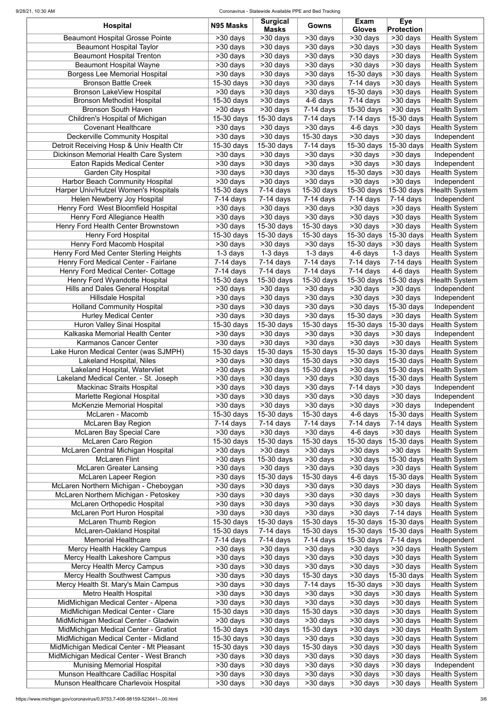#### 9/28/21, 10:30 AM Coronavirus - Statewide Available PPE and Bed Tracking

| <b>Hospital</b>                           | N95 Masks                 | <b>Surgical</b><br><b>Masks</b> | Gowns                    | <b>Exam</b><br><b>Gloves</b> | <b>Eye</b><br><b>Protection</b>    |                      |
|-------------------------------------------|---------------------------|---------------------------------|--------------------------|------------------------------|------------------------------------|----------------------|
| <b>Beaumont Hospital Grosse Pointe</b>    | $>30$ days                | >30 days                        | $\overline{>30}$ days    | $\overline{>30}$ days        | $\overline{>30}$ days              | <b>Health System</b> |
| <b>Beaumont Hospital Taylor</b>           | >30 days                  | $\overline{>30}$ days           | $>30$ days               | >30 days                     | $\overline{\phantom{1}}$ > 30 days | <b>Health System</b> |
| <b>Beaumont Hospital Trenton</b>          | >30 days                  | >30 days                        | $>30$ days               | >30 days                     | >30 days                           | <b>Health System</b> |
| <b>Beaumont Hospital Wayne</b>            | >30 days                  | >30 days                        | $>30$ days               | $>30$ days                   | >30 days                           | <b>Health System</b> |
| <b>Borgess Lee Memorial Hospital</b>      | >30 days                  | >30 days                        | $>30$ days               | 15-30 days                   | >30 days                           | <b>Health System</b> |
| <b>Bronson Battle Creek</b>               | 15-30 days                | >30 days                        | >30 days                 | $7-14$ days                  | >30 days                           | <b>Health System</b> |
| <b>Bronson LakeView Hospital</b>          | >30 days                  | >30 days                        | >30 days                 | 15-30 days                   | >30 days                           | <b>Health System</b> |
| <b>Bronson Methodist Hospital</b>         | 15-30 days                | $>30$ days                      | 4-6 days                 | $7-14$ days                  | >30 days                           | <b>Health System</b> |
| <b>Bronson South Haven</b>                | >30 days                  | >30 days                        | $7-14$ days              | 15-30 days                   | >30 days                           | <b>Health System</b> |
| Children's Hospital of Michigan           | 15-30 days                | 15-30 days                      | $7-14$ days              | $7-14$ days                  | 15-30 days                         | <b>Health System</b> |
| <b>Covenant Healthcare</b>                | >30 days                  | >30 days                        | $>30$ days               | 4-6 days                     | >30 days                           | <b>Health System</b> |
| Deckerville Community Hospital            | $>30$ days                | $>30$ days                      | 15-30 days               | >30 days                     | >30 days                           | Independent          |
| Detroit Receiving Hosp & Univ Health Ctr  | 15-30 days                | 15-30 days                      | $7-14$ days              | 15-30 days                   | 15-30 days                         | <b>Health System</b> |
| Dickinson Memorial Health Care System     | >30 days                  | >30 days                        | >30 days                 | >30 days                     | >30 days                           | Independent          |
| <b>Eaton Rapids Medical Center</b>        | >30 days                  | >30 days                        | >30 days                 | $>30$ days                   | >30 days                           | Independent          |
| <b>Garden City Hospital</b>               | $>30$ days                | >30 days                        | >30 days                 | 15-30 days                   | >30 days                           | <b>Health System</b> |
| <b>Harbor Beach Community Hospital</b>    | >30 days                  | >30 days                        | >30 days                 | $>30$ days                   | >30 days                           | Independent          |
| Harper Univ/Hutzel Women's Hospitals      | 15-30 days                | $7-14$ days                     | 15-30 days               | 15-30 days                   | 15-30 days                         | <b>Health System</b> |
| Helen Newberry Joy Hospital               | $7-14$ days               | $7-14$ days                     | $7-14$ days              | $7-14$ days                  | $7-14$ days                        | Independent          |
| Henry Ford West Bloomfield Hospital       | >30 days                  | $>30$ days                      | $>30$ days               | >30 days                     | >30 days                           | <b>Health System</b> |
| Henry Ford Allegiance Health              | $>30$ days                | >30 days                        | >30 days                 | >30 days                     | $\overline{>30}$ days              | <b>Health System</b> |
| Henry Ford Health Center Brownstown       | >30 days                  | 15-30 days                      | 15-30 days               | >30 days                     | >30 days                           | <b>Health System</b> |
| <b>Henry Ford Hospital</b>                | 15-30 days                | 15-30 days                      | $\overline{15}$ -30 days | $15-30$ days                 | 15-30 days                         | <b>Health System</b> |
| Henry Ford Macomb Hospital                | >30 days                  | $\overline{>30}$ days           | >30 days                 | $\overline{15}$ -30 days     | >30 days                           | <b>Health System</b> |
| Henry Ford Med Center Sterling Heights    | $1-3$ days                | $1-3$ days                      | $1-3$ days               | 4-6 days                     | 1-3 days                           | <b>Health System</b> |
| Henry Ford Medical Center - Fairlane      | 7-14 days                 | $\overline{7}$ -14 days         | $7-14$ days              | $7-14$ days                  | $\overline{7}$ -14 days            | <b>Health System</b> |
| <b>Henry Ford Medical Center- Cottage</b> | $7-14$ days               | $7-14$ days                     | $7-14$ days              | $7-14$ days                  | 4-6 days                           | <b>Health System</b> |
| Henry Ford Wyandotte Hospital             | $\overline{15}$ -30 days  | $\overline{15}$ -30 days        | $\overline{15}$ -30 days | 15-30 days                   | $\sqrt{15-30}$ days                | <b>Health System</b> |
| <b>Hills and Dales General Hospital</b>   | $>30$ days                | $>30$ days                      | $>30$ days               | >30 days                     | $>30$ days                         | Independent          |
| <b>Hillsdale Hospital</b>                 | >30 days                  | >30 days                        | >30 days                 | >30 days                     | >30 days                           | Independent          |
| <b>Holland Community Hospital</b>         | $>30$ days                | >30 days                        | $>30$ days               | >30 days                     | 15-30 days                         | Independent          |
| <b>Hurley Medical Center</b>              | >30 days                  | >30 days                        | >30 days                 | 15-30 days                   | >30 days                           | <b>Health System</b> |
| Huron Valley Sinai Hospital               | $\overline{15}$ -30 days  | 15-30 days                      | 15-30 days               | 15-30 days                   | 15-30 days                         | <b>Health System</b> |
| Kalkaska Memorial Health Center           | >30 days                  | >30 days                        | >30 days                 | >30 days                     | >30 days                           | Independent          |
| Karmanos Cancer Center                    | $>30$ days                | >30 days                        | >30 days                 | >30 days                     | >30 days                           | <b>Health System</b> |
| Lake Huron Medical Center (was SJMPH)     | 15-30 days                | 15-30 days                      | 15-30 days               | 15-30 days                   | 15-30 days                         | <b>Health System</b> |
| Lakeland Hospital, Niles                  | >30 days                  | >30 days                        | $15-30$ days             | >30 days                     | 15-30 days                         | <b>Health System</b> |
| Lakeland Hospital, Watervliet             | >30 days                  | >30 days                        | $15-30$ days             | >30 days                     | 15-30 days                         | <b>Health System</b> |
| Lakeland Medical Center. - St. Joseph     | >30 days                  | >30 days                        | >30 days                 | >30 days                     | 15-30 days                         | <b>Health System</b> |
| <b>Mackinac Straits Hospital</b>          | >30 days                  | >30 days                        | >30 days                 | $7-14$ days                  | >30 days                           | Independent          |
| <b>Marlette Regional Hospital</b>         | >30 days                  | >30 days                        | >30 days                 | >30 days                     | >30 days                           | Independent          |
| <b>McKenzie Memorial Hospital</b>         | >30 days                  | >30 days                        | >30 days                 | >30 days                     | >30 days                           | Independent          |
| McLaren - Macomb                          | 15-30 days                | 15-30 days                      | 15-30 days               | 4-6 days                     | 15-30 days                         | <b>Health System</b> |
| McLaren Bay Region                        | $7-14$ days               | $7-14$ days                     | $7-14$ days              | $7-14$ days                  | $7-14$ days                        | <b>Health System</b> |
| <b>McLaren Bay Special Care</b>           | >30 days                  | >30 days                        | >30 days                 | 4-6 days                     | >30 days                           | <b>Health System</b> |
| <b>McLaren Caro Region</b>                | 15-30 days                | 15-30 days                      | 15-30 days               | 15-30 days                   | 15-30 days                         | <b>Health System</b> |
| McLaren Central Michigan Hospital         | >30 days                  | >30 days                        | >30 days                 | >30 days                     | >30 days                           | <b>Health System</b> |
| <b>McLaren Flint</b>                      | >30 days                  | 15-30 days                      | >30 days                 | >30 days                     | 15-30 days                         | <b>Health System</b> |
| <b>McLaren Greater Lansing</b>            | >30 days                  | >30 days                        | >30 days                 | >30 days                     | >30 days                           | <b>Health System</b> |
| <b>McLaren Lapeer Region</b>              | >30 days                  | 15-30 days                      | 15-30 days               | 4-6 days                     | 15-30 days                         | <b>Health System</b> |
| McLaren Northern Michigan - Cheboygan     | >30 days                  | >30 days                        | >30 days                 | >30 days                     | >30 days                           | <b>Health System</b> |
| McLaren Northern Michigan - Petoskey      | >30 days                  | >30 days                        | >30 days                 | >30 days                     | >30 days                           | <b>Health System</b> |
| <b>McLaren Orthopedic Hospital</b>        | >30 days                  | >30 days                        | >30 days                 | >30 days                     | $>30$ days                         | <b>Health System</b> |
| McLaren Port Huron Hospital               | >30 days                  | >30 days                        | $>30$ days               | >30 days                     | $7-14$ days                        | <b>Health System</b> |
| <b>McLaren Thumb Region</b>               | 15-30 days                | 15-30 days                      | 15-30 days               | 15-30 days                   | 15-30 days                         | <b>Health System</b> |
| McLaren-Oakland Hospital                  | $\overline{15} - 30$ days | $\overline{7}$ -14 days         | 15-30 days               | 15-30 days                   | 15-30 days                         | <b>Health System</b> |
| <b>Memorial Healthcare</b>                | $7-14$ days               | $7-14$ days                     | $7-14$ days              | 15-30 days                   | $\overline{7-14}$ days             | Independent          |
| Mercy Health Hackley Campus               | >30 days                  | >30 days                        | >30 days                 | $\overline{>}30$ days        | >30 days                           | <b>Health System</b> |
| Mercy Health Lakeshore Campus             | >30 days                  | >30 days                        | >30 days                 | >30 days                     | >30 days                           | <b>Health System</b> |
| <b>Mercy Health Mercy Campus</b>          | >30 days                  | >30 days                        | >30 days                 | >30 days                     | >30 days                           | <b>Health System</b> |
| <b>Mercy Health Southwest Campus</b>      | >30 days                  | >30 days                        | 15-30 days               | >30 days                     | 15-30 days                         | <b>Health System</b> |
| Mercy Health St. Mary's Main Campus       | >30 days                  | >30 days                        | $7-14$ days              | 15-30 days                   | >30 days                           | <b>Health System</b> |
| <b>Metro Health Hospital</b>              | >30 days                  | >30 days                        | >30 days                 | >30 days                     | >30 days                           | <b>Health System</b> |
| MidMichigan Medical Center - Alpena       | >30 days                  | >30 days                        | >30 days                 | >30 days                     | >30 days                           | <b>Health System</b> |
| MidMichigan Medical Center - Clare        | 15-30 days                | >30 days                        | $15-30$ days             | >30 days                     | >30 days                           | <b>Health System</b> |
| MidMichigan Medical Center - Gladwin      | >30 days                  | >30 days                        | >30 days                 | >30 days                     | >30 days                           | <b>Health System</b> |
| MidMichigan Medical Center - Gratiot      | 15-30 days                | >30 days                        | 15-30 days               | >30 days                     | >30 days                           | <b>Health System</b> |
| MidMichigan Medical Center - Midland      | $15-30$ days              | >30 days                        | >30 days                 | >30 days                     | >30 days                           | <b>Health System</b> |
| MidMichigan Medical Center - Mt Pleasant  | $15-30$ days              | >30 days                        | 15-30 days               | >30 days                     | >30 days                           | <b>Health System</b> |
| MidMichigan Medical Center - West Branch  | >30 days                  | >30 days                        | >30 days                 | >30 days                     | >30 days                           | <b>Health System</b> |
| <b>Munising Memorial Hospital</b>         | >30 days                  | >30 days                        | >30 days                 | >30 days                     | >30 days                           | Independent          |
| Munson Healthcare Cadillac Hospital       | >30 days                  | >30 days                        | >30 days                 | >30 days                     | >30 days                           | <b>Health System</b> |
| Munson Healthcare Charlevoix Hospital     | >30 days                  | >30 days                        | >30 days                 | >30 days                     | >30 days                           | <b>Health System</b> |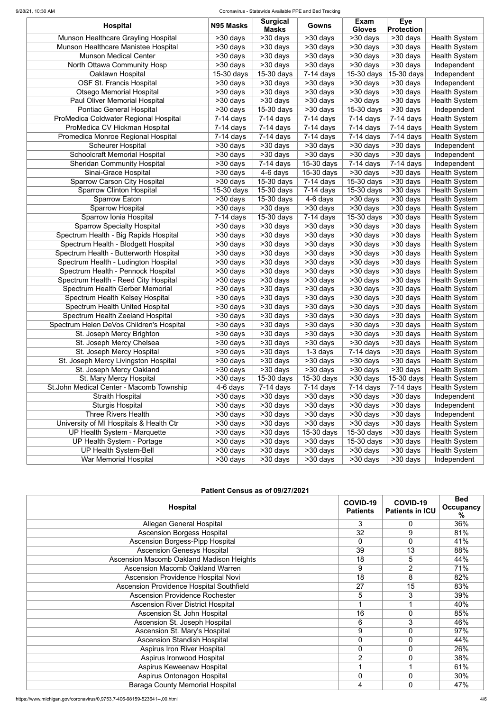#### 9/28/21, 10:30 AM Coronavirus - Statewide Available PPE and Bed Tracking

|                                          |                                    | <b>Surgical</b>         |                         | <b>Exam</b>           | <b>Eye</b>            |                      |
|------------------------------------------|------------------------------------|-------------------------|-------------------------|-----------------------|-----------------------|----------------------|
| <b>Hospital</b>                          | N95 Masks                          | <b>Masks</b>            | Gowns                   | <b>Gloves</b>         | <b>Protection</b>     |                      |
| Munson Healthcare Grayling Hospital      | >30 days                           | >30 days                | >30 days                | $\overline{>30}$ days | $\overline{>30}$ days | <b>Health System</b> |
| Munson Healthcare Manistee Hospital      | >30 days                           | $\overline{>30}$ days   | >30 days                | $>30$ days            | $>30$ days            | <b>Health System</b> |
| <b>Munson Medical Center</b>             | $>30$ days                         | >30 days                | >30 days                | $>30$ days            | >30 days              | <b>Health System</b> |
| North Ottawa Community Hosp              | >30 days                           | >30 days                | >30 days                | $>30$ days            | >30 days              | Independent          |
| Oaklawn Hospital                         | 15-30 days                         | 15-30 days              | $7-14$ days             | $15-30$ days          | 15-30 days            | Independent          |
| <b>OSF St. Francis Hospital</b>          | >30 days                           | >30 days                | >30 days                | >30 days              | >30 days              | Independent          |
| <b>Otsego Memorial Hospital</b>          | >30 days                           | $>30$ days              | >30 days                | $>30$ days            | >30 days              | <b>Health System</b> |
| <b>Paul Oliver Memorial Hospital</b>     | >30 days                           | $>30$ days              | >30 days                | >30 days              | >30 days              | <b>Health System</b> |
| <b>Pontiac General Hospital</b>          | $>30$ days                         | 15-30 days              | >30 days                | 15-30 days            | >30 days              | Independent          |
| ProMedica Coldwater Regional Hospital    | $7-14$ days                        | $7-14$ days             | $7-14$ days             | $7-14$ days           | $7-14$ days           | <b>Health System</b> |
| ProMedica CV Hickman Hospital            | $7-14$ days                        | $7-14$ days             | $7-14$ days             | $7-14$ days           | $7-14$ days           | <b>Health System</b> |
| Promedica Monroe Regional Hospital       | $7-14$ days                        | $7-14$ days             | $7-14$ days             | $7-14$ days           | $7-14$ days           | <b>Health System</b> |
| <b>Scheurer Hospital</b>                 | $>30$ days                         | >30 days                | >30 days                | >30 days              | $>30$ days            | Independent          |
| <b>Schoolcraft Memorial Hospital</b>     | >30 days                           | >30 days                | $>30$ days              | $>30$ days            | >30 days              | Independent          |
| <b>Sheridan Community Hospital</b>       | >30 days                           | $\overline{7}$ -14 days | 15-30 days              | $7-14$ days           | $7-14$ days           | Independent          |
| Sinai-Grace Hospital                     | >30 days                           | 4-6 days                | 15-30 days              | >30 days              | >30 days              | <b>Health System</b> |
| <b>Sparrow Carson City Hospital</b>      | >30 days                           | 15-30 days              | $7-14$ days             | 15-30 days            | $>30$ days            | <b>Health System</b> |
| <b>Sparrow Clinton Hospital</b>          | 15-30 days                         | 15-30 days              | $7-14$ days             | 15-30 days            | >30 days              | <b>Health System</b> |
| <b>Sparrow Eaton</b>                     | >30 days                           | 15-30 days              | $\overline{4}$ -6 days  | >30 days              | $\overline{>30}$ days | <b>Health System</b> |
| Sparrow Hospital                         | >30 days                           | $>30$ days              | $>30$ days              | $>30$ days            | $>30$ days            | <b>Health System</b> |
| Sparrow Ionia Hospital                   | $7-14$ days                        | 15-30 days              | $\overline{7}$ -14 days | 15-30 days            | $\overline{>30}$ days | <b>Health System</b> |
| <b>Sparrow Specialty Hospital</b>        | >30 days                           | $>30$ days              | >30 days                | $\overline{>30}$ days | $>30$ days            | <b>Health System</b> |
| Spectrum Health - Big Rapids Hospital    | >30 days                           | $\overline{>30}$ days   | >30 days                | >30 days              | $>30$ days            | <b>Health System</b> |
| Spectrum Health - Blodgett Hospital      | $\overline{\phantom{1}}$ > 30 days | $>30$ days              | $>30$ days              | $>30$ days            | $>30$ days            | <b>Health System</b> |
| Spectrum Health - Butterworth Hospital   | >30 days                           | >30 days                | >30 days                | $>30$ days            | $\overline{>30}$ days | <b>Health System</b> |
| Spectrum Health - Ludington Hospital     | >30 days                           | $>30$ days              | $\overline{>}30$ days   | $\overline{>}30$ days | $>30$ days            | <b>Health System</b> |
| Spectrum Health - Pennock Hospital       | >30 days                           | $\overline{>30}$ days   | >30 days                | >30 days              | >30 days              | <b>Health System</b> |
| Spectrum Health - Reed City Hospital     | $>30$ days                         | $\overline{>30}$ days   | $>30$ days              | $>30$ days            | $>30$ days            | <b>Health System</b> |
| Spectrum Health Gerber Memorial          | $>30$ days                         | >30 days                | >30 days                | $\overline{>}30$ days | >30 days              | <b>Health System</b> |
| <b>Spectrum Health Kelsey Hospital</b>   | >30 days                           | >30 days                | >30 days                | >30 days              | >30 days              | <b>Health System</b> |
| Spectrum Health United Hospital          | >30 days                           | >30 days                | >30 days                | >30 days              | >30 days              | <b>Health System</b> |
| Spectrum Health Zeeland Hospital         | >30 days                           | >30 days                | >30 days                | >30 days              | >30 days              | <b>Health System</b> |
| Spectrum Helen DeVos Children's Hospital | >30 days                           | >30 days                | >30 days                | >30 days              | >30 days              | <b>Health System</b> |
| St. Joseph Mercy Brighton                | >30 days                           | >30 days                | >30 days                | >30 days              | >30 days              | <b>Health System</b> |
| St. Joseph Mercy Chelsea                 | >30 days                           | >30 days                | >30 days                | >30 days              | >30 days              | <b>Health System</b> |
| St. Joseph Mercy Hospital                | >30 days                           | >30 days                | $1-3$ days              | $7-14$ days           | >30 days              | <b>Health System</b> |
| St. Joseph Mercy Livingston Hospital     | >30 days                           | >30 days                | >30 days                | >30 days              | >30 days              | <b>Health System</b> |
| St. Joseph Mercy Oakland                 | >30 days                           | >30 days                | >30 days                | >30 days              | >30 days              | <b>Health System</b> |
| St. Mary Mercy Hospital                  | >30 days                           | 15-30 days              | 15-30 days              | >30 days              | 15-30 days            | <b>Health System</b> |
| St.John Medical Center - Macomb Township | 4-6 days                           | $7-14$ days             | $7-14$ days             | $7-14$ days           | $7-14$ days           | <b>Health System</b> |
| <b>Straith Hospital</b>                  | >30 days                           | >30 days                | >30 days                | >30 days              | >30 days              | Independent          |
| <b>Sturgis Hospital</b>                  | >30 days                           | >30 days                | >30 days                | >30 days              | >30 days              | Independent          |
| <b>Three Rivers Health</b>               | >30 days                           | >30 days                | >30 days                | >30 days              | >30 days              | Independent          |
| University of MI Hospitals & Health Ctr  | >30 days                           | >30 days                | >30 days                | >30 days              | >30 days              | <b>Health System</b> |
| <b>UP Health System - Marquette</b>      | >30 days                           | >30 days                | 15-30 days              | 15-30 days            | >30 days              | <b>Health System</b> |
| UP Health System - Portage               | >30 days                           | >30 days                | >30 days                | 15-30 days            | >30 days              | <b>Health System</b> |
| <b>UP Health System-Bell</b>             | >30 days                           | >30 days                | >30 days                | >30 days              | >30 days              | <b>Health System</b> |
| <b>War Memorial Hospital</b>             | >30 days                           | >30 days                | >30 days                | >30 days              | >30 days              | Independent          |

| <b>Hospital</b>                                 | COVID-19<br><b>Patients</b> | COVID-19<br><b>Patients in ICU</b> | <b>Bed</b><br><b>Occupancy</b><br>℅ |
|-------------------------------------------------|-----------------------------|------------------------------------|-------------------------------------|
| <b>Allegan General Hospital</b>                 | 3                           | $\mathbf 0$                        | 36%                                 |
| <b>Ascension Borgess Hospital</b>               | $\overline{32}$             | 9                                  | 81%                                 |
| <b>Ascension Borgess-Pipp Hospital</b>          | $\mathbf 0$                 | $\mathbf 0$                        | 41%                                 |
| <b>Ascension Genesys Hospital</b>               | 39                          | 13                                 | 88%                                 |
| <b>Ascension Macomb Oakland Madison Heights</b> | 18                          | 5                                  | 44%                                 |
| <b>Ascension Macomb Oakland Warren</b>          | 9                           | $\overline{2}$                     | 71%                                 |
| <b>Ascension Providence Hospital Novi</b>       | $\overline{18}$             | 8                                  | 82%                                 |
| <b>Ascension Providence Hospital Southfield</b> | 27                          | 15                                 | 83%                                 |
| <b>Ascension Providence Rochester</b>           | 5                           | 3                                  | 39%                                 |
| <b>Ascension River District Hospital</b>        |                             |                                    | 40%                                 |
| Ascension St. John Hospital                     | 16                          | $\overline{0}$                     | 85%                                 |
| Ascension St. Joseph Hospital                   | 6                           | 3                                  | 46%                                 |
| Ascension St. Mary's Hospital                   | 9                           | $\overline{0}$                     | 97%                                 |
| <b>Ascension Standish Hospital</b>              | $\overline{0}$              | $\overline{0}$                     | 44%                                 |
| <b>Aspirus Iron River Hospital</b>              | $\mathbf 0$                 | $\mathbf 0$                        | 26%                                 |
| Aspirus Ironwood Hospital                       | $\overline{2}$              | $\mathbf 0$                        | 38%                                 |
| Aspirus Keweenaw Hospital                       |                             |                                    | 61%                                 |
| Aspirus Ontonagon Hospital                      | $\mathbf 0$                 | $\mathbf 0$                        | 30%                                 |
| <b>Baraga County Memorial Hospital</b>          | 4                           | $\mathbf 0$                        | 47%                                 |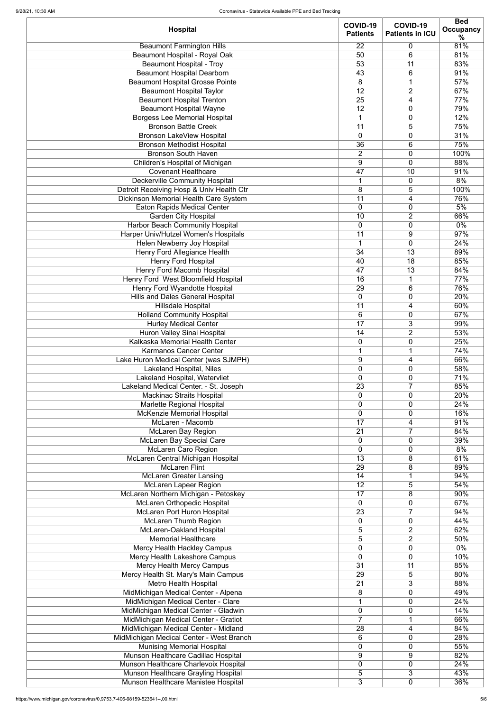| <b>Hospital</b>                                                              | COVID-19<br><b>Patients</b>    | COVID-19<br><b>Patients in ICU</b> | <b>Bed</b><br><b>Occupancy</b> |
|------------------------------------------------------------------------------|--------------------------------|------------------------------------|--------------------------------|
|                                                                              |                                |                                    | %                              |
| <b>Beaumont Farmington Hills</b>                                             | 22                             | 0                                  | 81%                            |
| Beaumont Hospital - Royal Oak                                                | 50                             | 6                                  | 81%                            |
| <b>Beaumont Hospital - Troy</b><br><b>Beaumont Hospital Dearborn</b>         | 53<br>43                       | 11<br>6                            | 83%<br>91%                     |
| <b>Beaumont Hospital Grosse Pointe</b>                                       | 8                              | 1                                  | 57%                            |
| <b>Beaumont Hospital Taylor</b>                                              | 12                             | 2                                  | 67%                            |
| <b>Beaumont Hospital Trenton</b>                                             | 25                             | 4                                  | 77%                            |
| <b>Beaumont Hospital Wayne</b>                                               | 12                             | 0                                  | 79%                            |
| <b>Borgess Lee Memorial Hospital</b>                                         | $\mathbf 1$                    | 0                                  | 12%                            |
| <b>Bronson Battle Creek</b>                                                  | 11                             | 5                                  | 75%                            |
| <b>Bronson LakeView Hospital</b>                                             | $\overline{0}$                 | 0                                  | 31%                            |
| <b>Bronson Methodist Hospital</b>                                            | 36                             | 6                                  | 75%                            |
| <b>Bronson South Haven</b>                                                   | $\overline{2}$                 | 0                                  | 100%                           |
| Children's Hospital of Michigan                                              | 9                              | 0                                  | 88%                            |
| <b>Covenant Healthcare</b><br><b>Deckerville Community Hospital</b>          | 47<br>1                        | 10<br>0                            | 91%<br>8%                      |
| Detroit Receiving Hosp & Univ Health Ctr                                     | 8                              | 5                                  | 100%                           |
| Dickinson Memorial Health Care System                                        | $\overline{11}$                | 4                                  | 76%                            |
| <b>Eaton Rapids Medical Center</b>                                           | $\overline{0}$                 | 0                                  | 5%                             |
| <b>Garden City Hospital</b>                                                  | 10                             | $\overline{2}$                     | 66%                            |
| <b>Harbor Beach Community Hospital</b>                                       | $\mathbf 0$                    | 0                                  | $0\%$                          |
| Harper Univ/Hutzel Women's Hospitals                                         | 11                             | 9                                  | 97%                            |
| Helen Newberry Joy Hospital                                                  | $\mathbf 1$                    | 0                                  | 24%                            |
| <b>Henry Ford Allegiance Health</b>                                          | 34                             | 13                                 | 89%                            |
| <b>Henry Ford Hospital</b>                                                   | 40                             | 18                                 | 85%                            |
| <b>Henry Ford Macomb Hospital</b>                                            | 47                             | 13                                 | 84%                            |
| Henry Ford West Bloomfield Hospital<br>Henry Ford Wyandotte Hospital         | 16<br>$\overline{29}$          | $\mathbf 1$<br>$\overline{6}$      | 77%<br>76%                     |
| <b>Hills and Dales General Hospital</b>                                      | 0                              | 0                                  | 20%                            |
| <b>Hillsdale Hospital</b>                                                    | 11                             | 4                                  | 60%                            |
| <b>Holland Community Hospital</b>                                            | 6                              | 0                                  | 67%                            |
| <b>Hurley Medical Center</b>                                                 | 17                             | 3                                  | 99%                            |
| Huron Valley Sinai Hospital                                                  | 14                             | $\overline{2}$                     | 53%                            |
| Kalkaska Memorial Health Center                                              | $\mathbf 0$                    | 0                                  | 25%                            |
| Karmanos Cancer Center                                                       | $\mathbf 1$                    | 1                                  | 74%                            |
| Lake Huron Medical Center (was SJMPH)                                        | 9                              | 4                                  | 66%                            |
| Lakeland Hospital, Niles<br>Lakeland Hospital, Watervliet                    | 0<br>$\overline{0}$            | 0<br>0                             | 58%<br>71%                     |
| Lakeland Medical Center. - St. Joseph                                        | 23                             | $\overline{7}$                     | 85%                            |
| <b>Mackinac Straits Hospital</b>                                             | $\mathbf 0$                    | 0                                  | 20%                            |
| Marlette Regional Hospital                                                   | $\mathbf 0$                    | 0                                  | 24%                            |
| <b>McKenzie Memorial Hospital</b>                                            | $\mathbf 0$                    | 0                                  | 16%                            |
| McLaren - Macomb                                                             | 17                             | 4                                  | 91%                            |
| <b>McLaren Bay Region</b>                                                    | 21                             | $\overline{7}$                     | 84%                            |
| <b>McLaren Bay Special Care</b>                                              | $\mathbf 0$                    | 0                                  | 39%<br>8%                      |
| <b>McLaren Caro Region</b><br>McLaren Central Michigan Hospital              | $\mathbf 0$<br>$\overline{13}$ | 0<br>8                             | 61%                            |
| <b>McLaren Flint</b>                                                         | 29                             | 8                                  | 89%                            |
| <b>McLaren Greater Lansing</b>                                               | 14                             | $\mathbf 1$                        | 94%                            |
| <b>McLaren Lapeer Region</b>                                                 | 12                             | 5                                  | 54%                            |
| McLaren Northern Michigan - Petoskey                                         | 17                             | 8                                  | 90%                            |
| <b>McLaren Orthopedic Hospital</b>                                           | $\mathbf 0$                    | 0                                  | 67%                            |
| <b>McLaren Port Huron Hospital</b>                                           | 23                             | $\overline{7}$                     | 94%                            |
| <b>McLaren Thumb Region</b>                                                  | $\mathbf 0$                    | 0                                  | 44%                            |
| <b>McLaren-Oakland Hospital</b><br><b>Memorial Healthcare</b>                | 5<br>5                         | 2<br>$\overline{2}$                | 62%<br>50%                     |
| <b>Mercy Health Hackley Campus</b>                                           | 0                              | 0                                  | $0\%$                          |
| Mercy Health Lakeshore Campus                                                | 0                              | 0                                  | 10%                            |
| <b>Mercy Health Mercy Campus</b>                                             | $\overline{31}$                | 11                                 | 85%                            |
| Mercy Health St. Mary's Main Campus                                          | 29                             | 5                                  | 80%                            |
| <b>Metro Health Hospital</b>                                                 | 21                             | 3                                  | 88%                            |
| MidMichigan Medical Center - Alpena                                          | 8                              | 0                                  | 49%                            |
| MidMichigan Medical Center - Clare                                           |                                | 0                                  | 24%                            |
| MidMichigan Medical Center - Gladwin                                         | $\mathbf 0$                    | 0                                  | 14%                            |
| MidMichigan Medical Center - Gratiot<br>MidMichigan Medical Center - Midland | $\overline{7}$<br>28           | 4                                  | 66%<br>84%                     |
| MidMichigan Medical Center - West Branch                                     | 6                              | 0                                  | 28%                            |
| <b>Munising Memorial Hospital</b>                                            | $\mathbf 0$                    | 0                                  | 55%                            |
| Munson Healthcare Cadillac Hospital                                          | $9\,$                          | 9                                  | 82%                            |
| Munson Healthcare Charlevoix Hospital                                        | 0                              | 0                                  | 24%                            |
| Munson Healthcare Grayling Hospital                                          | 5                              | 3                                  | 43%                            |
| Munson Healthcare Manistee Hospital                                          | 3                              | $\boldsymbol{0}$                   | 36%                            |